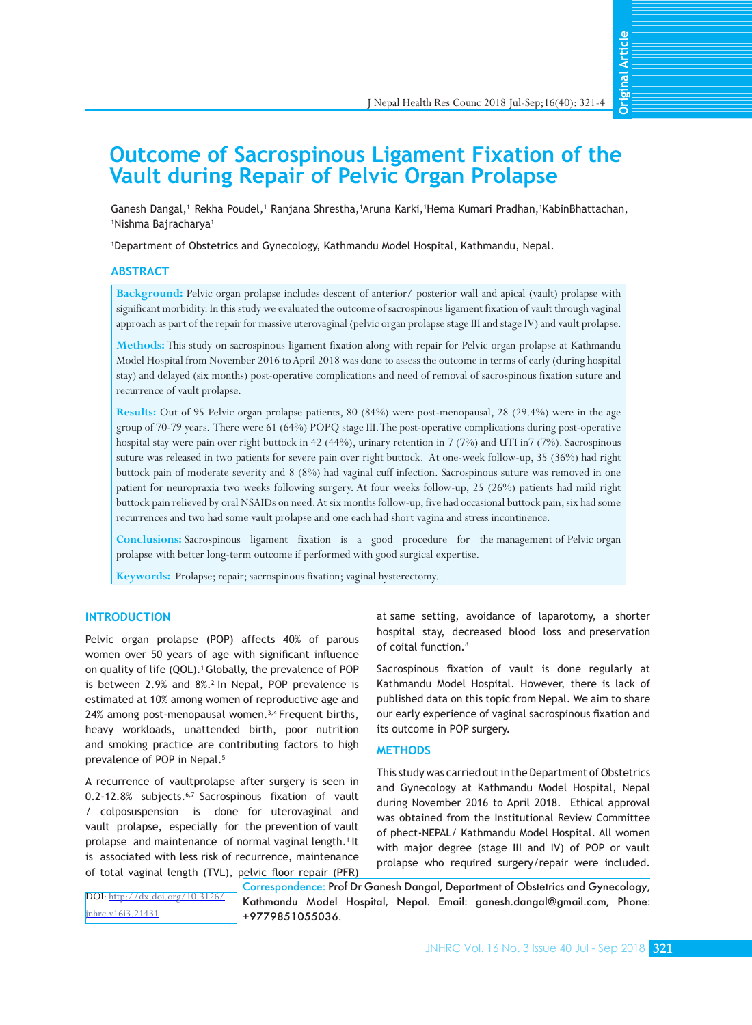**Original Article Original Article**

# **Outcome of Sacrospinous Ligament Fixation of the Vault during Repair of Pelvic Organ Prolapse**

Ganesh Dangal, 1 Rekha Poudel, 1 Ranjana Shrestha, 1Aruna Karki, 1Hema Kumari Pradhan, 1KabinBhattachan, 1 Nishma Bajracharya<sup>1</sup>

1 Department of Obstetrics and Gynecology, Kathmandu Model Hospital, Kathmandu, Nepal.

## **ABSTRACT**

**Background:** Pelvic organ prolapse includes descent of anterior/ posterior wall and apical (vault) prolapse with significant morbidity. In this study we evaluated the outcome of sacrospinous ligament fixation of vault through vaginal approach as part of the repair for massive uterovaginal (pelvic organ prolapse stage III and stage IV) and vault prolapse.

**Methods:** This study on sacrospinous ligament fixation along with repair for Pelvic organ prolapse at Kathmandu Model Hospital from November 2016 to April 2018 was done to assess the outcome in terms of early (during hospital stay) and delayed (six months) post-operative complications and need of removal of sacrospinous fixation suture and recurrence of vault prolapse.

**Results:** Out of 95 Pelvic organ prolapse patients, 80 (84%) were post-menopausal, 28 (29.4%) were in the age group of 70-79 years. There were 61 (64%) POPQ stage III. The post-operative complications during post-operative hospital stay were pain over right buttock in 42 (44%), urinary retention in 7 (7%) and UTI in7 (7%). Sacrospinous suture was released in two patients for severe pain over right buttock. At one-week follow-up, 35 (36%) had right buttock pain of moderate severity and 8 (8%) had vaginal cuff infection. Sacrospinous suture was removed in one patient for neuropraxia two weeks following surgery. At four weeks follow-up, 25 (26%) patients had mild right buttock pain relieved by oral NSAIDs on need. At six months follow-up, five had occasional buttock pain, six had some recurrences and two had some vault prolapse and one each had short vagina and stress incontinence.

**Conclusions:** Sacrospinous ligament fixation is a good procedure for the management of Pelvic organ prolapse with better long-term outcome if performed with good surgical expertise.

**Keywords:** Prolapse; repair; sacrospinous fixation; vaginal hysterectomy.

## **INTRODUCTION**

Pelvic organ prolapse (POP) affects 40% of parous women over 50 years of age with significant influence on quality of life (QOL).<sup>1</sup> Globally, the prevalence of POP is between 2.9% and 8%.<sup>2</sup> In Nepal, POP prevalence is estimated at 10% among women of reproductive age and 24% among post-menopausal women.<sup>3,4</sup> Frequent births, heavy workloads, unattended birth, poor nutrition and smoking practice are contributing factors to high prevalence of POP in Nepal.<sup>5</sup>

A recurrence of vaultprolapse after surgery is seen in 0.2-12.8% subjects.<sup>6,7</sup> Sacrospinous fixation of vault / colposuspension is done for uterovaginal and vault prolapse, especially for the prevention of vault prolapse and maintenance of normal vaginal length.<sup>1</sup> It is associated with less risk of recurrence, maintenance of total vaginal length (TVL), pelvic floor repair (PFR)

at same setting, avoidance of laparotomy, a shorter hospital stay, decreased blood loss and preservation of coital function.<sup>8</sup>

Sacrospinous fixation of vault is done regularly at Kathmandu Model Hospital. However, there is lack of published data on this topic from Nepal. We aim to share our early experience of vaginal sacrospinous fixation and its outcome in POP surgery.

#### **METHODS**

This study was carried out in the Department of Obstetrics and Gynecology at Kathmandu Model Hospital, Nepal during November 2016 to April 2018. Ethical approval was obtained from the Institutional Review Committee of phect-NEPAL/ Kathmandu Model Hospital. All women with major degree (stage III and IV) of POP or vault prolapse who required surgery/repair were included.

DOI: [http://dx.doi.org/10.3126/](http://dx.doi.org/10.3126/jnhrc.v16i3.21431) [jnhrc.v16i3.21431](http://dx.doi.org/10.3126/jnhrc.v16i3.21431)

Correspondence: Prof Dr Ganesh Dangal, Department of Obstetrics and Gynecology, Kathmandu Model Hospital, Nepal. Email: ganesh.dangal@gmail.com, Phone: +9779851055036.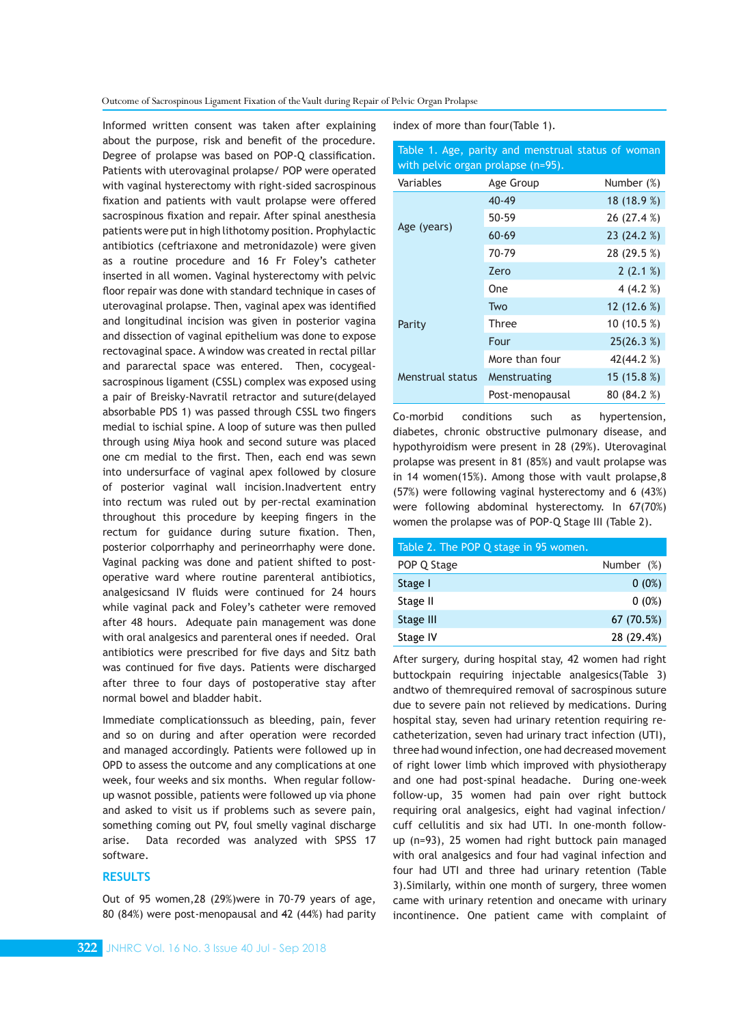Outcome of Sacrospinous Ligament Fixation of the Vault during Repair of Pelvic Organ Prolapse

Informed written consent was taken after explaining about the purpose, risk and benefit of the procedure. Degree of prolapse was based on POP-Q classification. Patients with uterovaginal prolapse/ POP were operated with vaginal hysterectomy with right-sided sacrospinous fixation and patients with vault prolapse were offered sacrospinous fixation and repair. After spinal anesthesia patients were put in high lithotomy position. Prophylactic antibiotics (ceftriaxone and metronidazole) were given as a routine procedure and 16 Fr Foley's catheter inserted in all women. Vaginal hysterectomy with pelvic floor repair was done with standard technique in cases of uterovaginal prolapse. Then, vaginal apex was identified and longitudinal incision was given in posterior vagina and dissection of vaginal epithelium was done to expose rectovaginal space. A window was created in rectal pillar and pararectal space was entered. Then, cocygealsacrospinous ligament (CSSL) complex was exposed using a pair of Breisky-Navratil retractor and suture(delayed absorbable PDS 1) was passed through CSSL two fingers medial to ischial spine. A loop of suture was then pulled through using Miya hook and second suture was placed one cm medial to the first. Then, each end was sewn into undersurface of vaginal apex followed by closure of posterior vaginal wall incision.Inadvertent entry into rectum was ruled out by per-rectal examination throughout this procedure by keeping fingers in the rectum for guidance during suture fixation. Then, posterior colporrhaphy and perineorrhaphy were done. Vaginal packing was done and patient shifted to postoperative ward where routine parenteral antibiotics, analgesicsand IV fluids were continued for 24 hours while vaginal pack and Foley's catheter were removed after 48 hours. Adequate pain management was done with oral analgesics and parenteral ones if needed. Oral antibiotics were prescribed for five days and Sitz bath was continued for five days. Patients were discharged after three to four days of postoperative stay after normal bowel and bladder habit.

Immediate complicationssuch as bleeding, pain, fever and so on during and after operation were recorded and managed accordingly. Patients were followed up in OPD to assess the outcome and any complications at one week, four weeks and six months. When regular followup wasnot possible, patients were followed up via phone and asked to visit us if problems such as severe pain, something coming out PV, foul smelly vaginal discharge arise. Data recorded was analyzed with SPSS 17 software.

# **RESULTS**

index of more than four(Table 1).

| Table 1. Age, parity and menstrual status of woman<br>with pelvic organ prolapse (n=95). |                 |             |  |  |
|------------------------------------------------------------------------------------------|-----------------|-------------|--|--|
| Variables                                                                                | Age Group       | Number (%)  |  |  |
| Age (years)                                                                              | $40 - 49$       | 18(18.9%)   |  |  |
|                                                                                          | $50 - 59$       | 26 (27.4 %) |  |  |
|                                                                                          | $60 - 69$       | 23 (24.2 %) |  |  |
|                                                                                          | 70-79           | 28 (29.5 %) |  |  |
|                                                                                          | Zero            | 2(2.1%)     |  |  |
|                                                                                          | One             | 4 $(4.2%$   |  |  |
|                                                                                          | Two             | 12 (12.6 %) |  |  |
| Parity                                                                                   | Three           | 10 (10.5 %) |  |  |
|                                                                                          | Four            | 25(26.3%)   |  |  |
|                                                                                          | More than four  | 42(44.2 %)  |  |  |
| Menstrual status                                                                         | Menstruating    | 15 (15.8 %) |  |  |
|                                                                                          | Post-menopausal | 80 (84.2 %) |  |  |

Co-morbid conditions such as hypertension, diabetes, chronic obstructive pulmonary disease, and hypothyroidism were present in 28 (29%). Uterovaginal prolapse was present in 81 (85%) and vault prolapse was in 14 women(15%). Among those with vault prolapse,8 (57%) were following vaginal hysterectomy and 6 (43%) were following abdominal hysterectomy. In 67(70%) women the prolapse was of POP-Q Stage III (Table 2).

| Table 2. The POP Q stage in 95 women. |            |
|---------------------------------------|------------|
| POP Q Stage                           | Number (%) |
| Stage I                               | $0(0\%)$   |
| Stage II                              | $0(0\%)$   |
| Stage III                             | 67 (70.5%) |
| Stage IV                              | 28 (29.4%) |
|                                       |            |

After surgery, during hospital stay, 42 women had right buttockpain requiring injectable analgesics(Table 3) andtwo of themrequired removal of sacrospinous suture due to severe pain not relieved by medications. During hospital stay, seven had urinary retention requiring recatheterization, seven had urinary tract infection (UTI), three had wound infection, one had decreased movement of right lower limb which improved with physiotherapy and one had post-spinal headache. During one-week follow-up, 35 women had pain over right buttock requiring oral analgesics, eight had vaginal infection/ cuff cellulitis and six had UTI. In one-month followup (n=93), 25 women had right buttock pain managed with oral analgesics and four had vaginal infection and four had UTI and three had urinary retention (Table 3).Similarly, within one month of surgery, three women came with urinary retention and onecame with urinary incontinence. One patient came with complaint of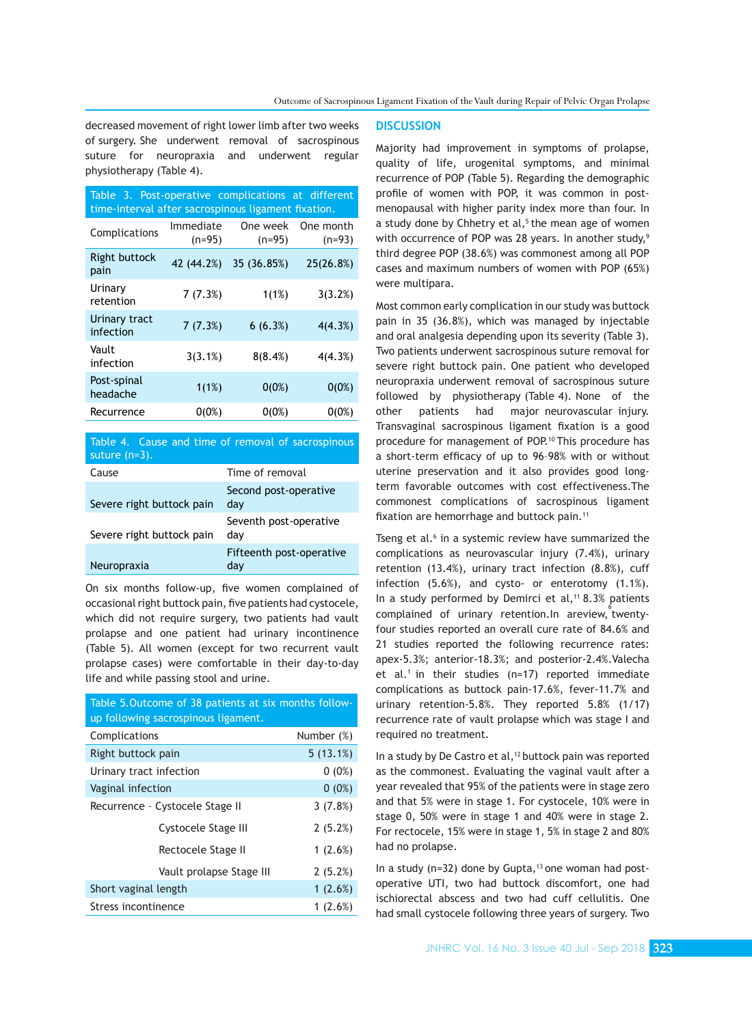decreased movement of right lower limb after two weeks of surgery. She underwent removal of sacrospinous suture for neuropraxia and underwent regular physiotherapy (Table 4).

| Table 3. Post-operative complications at different<br>time-interval after sacrospinous ligament fixation. |                       |                      |                       |  |  |
|-----------------------------------------------------------------------------------------------------------|-----------------------|----------------------|-----------------------|--|--|
| Complications                                                                                             | Immediate<br>$(n=95)$ | One week<br>$(n=95)$ | One month<br>$(n=93)$ |  |  |
| <b>Right buttock</b><br>pain                                                                              | 42 (44.2%)            | 35 (36.85%)          | 25(26.8%)             |  |  |
| Urinary<br>retention                                                                                      | 7(7.3%)               | 1(1%)                | 3(3.2%)               |  |  |
| Urinary tract<br>infection                                                                                | 7(7.3%)               | 6(6.3%)              | 4(4.3%)               |  |  |
| Vault<br>infection                                                                                        | 3(3.1%)               | 8(8.4%)              | 4(4.3%)               |  |  |
| Post-spinal<br>headache                                                                                   | 1(1%)                 | $0(0\%)$             | $0(0\%)$              |  |  |
| Recurrence                                                                                                | 0(0%)                 | 0(0%)                | 0(0%)                 |  |  |

Table 4. Cause and time of removal of sacrospinous suture (n=3).

| Cause                     | Time of removal                 |
|---------------------------|---------------------------------|
| Severe right buttock pain | Second post-operative<br>day    |
| Severe right buttock pain | Seventh post-operative<br>dav   |
| Neuropraxia               | Fifteenth post-operative<br>dav |

On six months follow-up, five women complained of occasional right buttock pain, five patients had cystocele, which did not require surgery, two patients had vault prolapse and one patient had urinary incontinence (Table 5). All women (except for two recurrent vault prolapse cases) were comfortable in their day-to-day life and while passing stool and urine.

| Table 5. Outcome of 38 patients at six months follow- |            |  |  |
|-------------------------------------------------------|------------|--|--|
| up following sacrospinous ligament.                   |            |  |  |
| Complications                                         | Number (%) |  |  |
| Right buttock pain                                    | 5(13.1%)   |  |  |
| Urinary tract infection                               | $0(0\%)$   |  |  |
| Vaginal infection                                     | $0(0\%)$   |  |  |
| Recurrence - Cystocele Stage II                       | 3(7.8%)    |  |  |
| Cystocele Stage III                                   | 2(5.2%)    |  |  |
| Rectocele Stage II                                    | 1(2.6%)    |  |  |
| Vault prolapse Stage III                              | 2(5.2%)    |  |  |
| Short vaginal length                                  | 1(2.6%)    |  |  |
| Stress incontinence                                   | 1 $(2.6%)$ |  |  |

#### **DISCUSSION**

Majority had improvement in symptoms of prolapse, quality of life, urogenital symptoms, and minimal recurrence of POP (Table 5). Regarding the demographic profile of women with POP, it was common in postmenopausal with higher parity index more than four. In a study done by Chhetry et al, $5$  the mean age of women with occurrence of POP was 28 years. In another study,<sup>9</sup> third degree POP (38.6%) was commonest among all POP cases and maximum numbers of women with POP (65%) were multipara.

Most common early complication in our study was buttock pain in 35 (36.8%), which was managed by injectable and oral analgesia depending upon its severity (Table 3). Two patients underwent sacrospinous suture removal for severe right buttock pain. One patient who developed neuropraxia underwent removal of sacrospinous suture followed by physiotherapy (Table 4). None of the other patients had major neurovascular injury. Transvaginal sacrospinous ligament fixation is a good procedure for management of POP.<sup>10</sup> This procedure has a short-term efficacy of up to 96–98% with or without uterine preservation and it also provides good longterm favorable outcomes with cost effectiveness.The commonest complications of sacrospinous ligament fixation are hemorrhage and buttock pain.<sup>11</sup>

Tseng et al.<sup>6</sup> in a systemic review have summarized the complications as neurovascular injury (7.4%), urinary retention (13.4%), urinary tract infection (8.8%), cuff infection (5.6%), and cysto- or enterotomy (1.1%). In a study performed by Demirci et al,<sup>11</sup> 8.3% patients complained of urinary retention. In areview, twentyfour studies reported an overall cure rate of 84.6% and 21 studies reported the following recurrence rates: apex-5.3%; anterior-18.3%; and posterior-2.4%.Valecha et al.<sup>1</sup> in their studies (n=17) reported immediate complications as buttock pain-17.6%, fever-11.7% and urinary retention-5.8%. They reported 5.8% (1/17) recurrence rate of vault prolapse which was stage I and required no treatment.

In a study by De Castro et al,<sup>12</sup> buttock pain was reported as the commonest. Evaluating the vaginal vault after a year revealed that 95% of the patients were in stage zero and that 5% were in stage 1. For cystocele, 10% were in stage 0, 50% were in stage 1 and 40% were in stage 2. For rectocele, 15% were in stage 1, 5% in stage 2 and 80% had no prolapse.

In a study ( $n=32$ ) done by Gupta,<sup>13</sup> one woman had postoperative UTI, two had buttock discomfort, one had ischiorectal abscess and two had cuff cellulitis. One had small cystocele following three years of surgery. Two